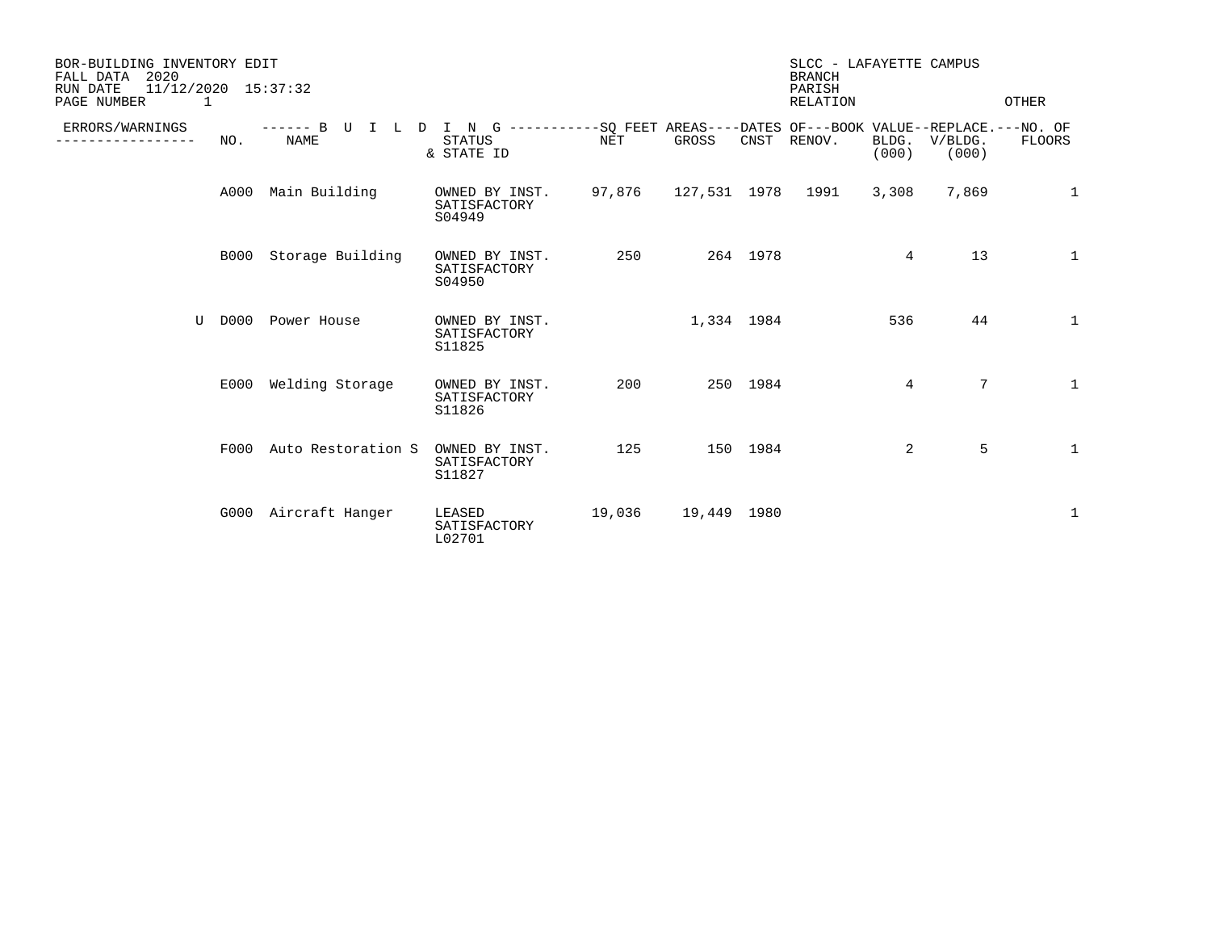| BOR-BUILDING INVENTORY EDIT<br>2020<br>FALL DATA<br>$11/12/2020$ $15:37:32$<br>RUN DATE<br>PAGE NUMBER<br>1 |             |                                               |                                                                                                          |        |              | SLCC - LAFAYETTE CAMPUS<br><b>BRANCH</b><br>PARISH<br>RELATION<br>OTHER |             |                |                  |              |
|-------------------------------------------------------------------------------------------------------------|-------------|-----------------------------------------------|----------------------------------------------------------------------------------------------------------|--------|--------------|-------------------------------------------------------------------------|-------------|----------------|------------------|--------------|
| ERRORS/WARNINGS                                                                                             | NO.         | $--- - - B$ U<br>T<br>T.<br>D.<br><b>NAME</b> | I N G ----------SO FEET AREAS----DATES OF---BOOK VALUE--REPLACE.---NO. OF<br><b>STATUS</b><br>& STATE ID | NET    | GROSS        |                                                                         | CNST RENOV. | BLDG.<br>(000) | V/BLDG.<br>(000) | FLOORS       |
|                                                                                                             | A000        | Main Building                                 | OWNED BY INST.<br>SATISFACTORY<br>S04949                                                                 | 97,876 | 127,531 1978 |                                                                         | 1991        | 3,308          | 7,869            | $\mathbf 1$  |
|                                                                                                             | <b>B000</b> | Storage Building                              | OWNED BY INST.<br>SATISFACTORY<br>S04950                                                                 | 250    |              | 264 1978                                                                |             | 4              | 13               | 1            |
| U                                                                                                           | D000        | Power House                                   | OWNED BY INST.<br>SATISFACTORY<br>S11825                                                                 |        | 1,334 1984   |                                                                         |             | 536            | 44               | $\mathbf 1$  |
|                                                                                                             | E000        | Welding Storage                               | OWNED BY INST.<br>SATISFACTORY<br>S11826                                                                 | 200    |              | 250 1984                                                                |             | 4              | 7                | $\mathbf{1}$ |
|                                                                                                             |             | F000 Auto Restoration S                       | OWNED BY INST.<br>SATISFACTORY<br>S11827                                                                 | 125    |              | 150 1984                                                                |             | 2              | 5                | $\mathbf{1}$ |
|                                                                                                             | G000        | Aircraft Hanger                               | LEASED<br>SATISFACTORY<br>L02701                                                                         | 19,036 | 19,449 1980  |                                                                         |             |                |                  | 1            |